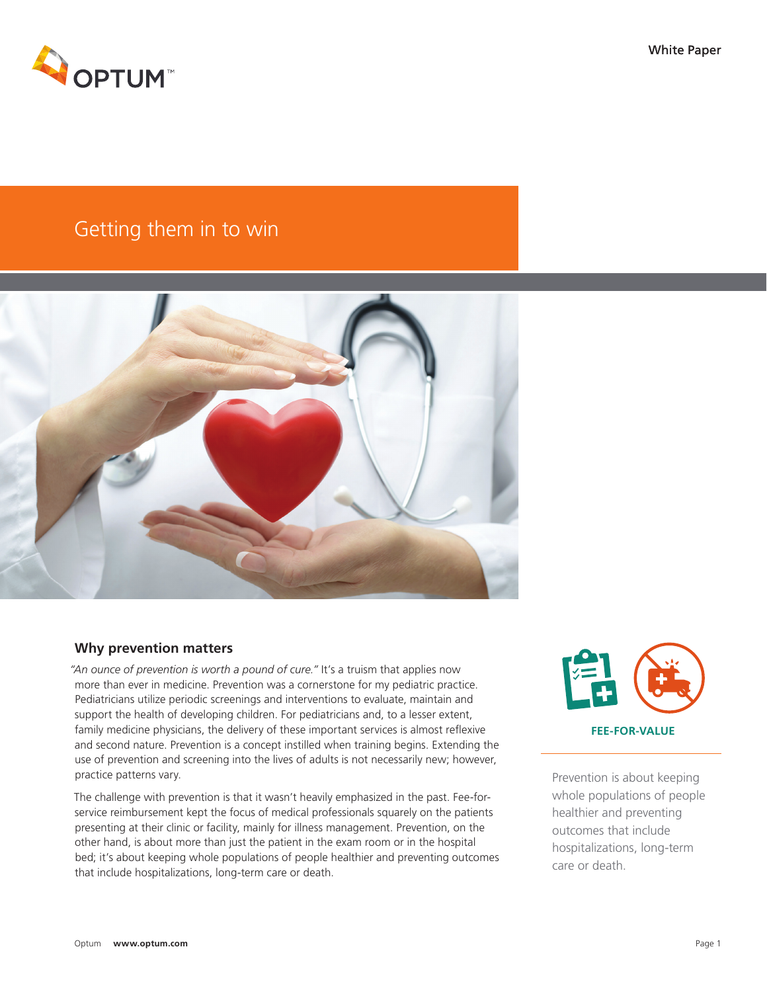

# Getting them in to win



## **Why prevention matters**

*"An ounce of prevention is worth a pound of cure."* It's a truism that applies now more than ever in medicine. Prevention was a cornerstone for my pediatric practice. Pediatricians utilize periodic screenings and interventions to evaluate, maintain and support the health of developing children. For pediatricians and, to a lesser extent, family medicine physicians, the delivery of these important services is almost reflexive and second nature. Prevention is a concept instilled when training begins. Extending the use of prevention and screening into the lives of adults is not necessarily new; however, practice patterns vary.

The challenge with prevention is that it wasn't heavily emphasized in the past. Fee-forservice reimbursement kept the focus of medical professionals squarely on the patients presenting at their clinic or facility, mainly for illness management. Prevention, on the other hand, is about more than just the patient in the exam room or in the hospital bed; it's about keeping whole populations of people healthier and preventing outcomes that include hospitalizations, long-term care or death.



Prevention is about keeping whole populations of people healthier and preventing outcomes that include hospitalizations, long-term care or death.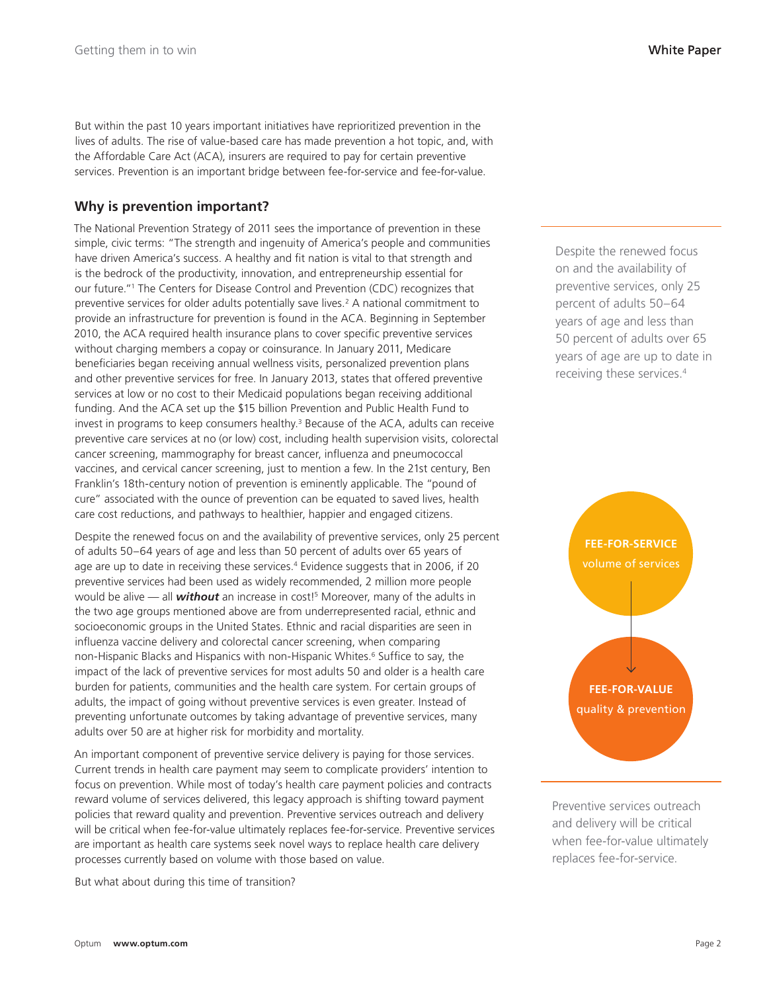But within the past 10 years important initiatives have reprioritized prevention in the lives of adults. The rise of value-based care has made prevention a hot topic, and, with the Affordable Care Act (ACA), insurers are required to pay for certain preventive services. Prevention is an important bridge between fee-for-service and fee-for-value.

## **Why is prevention important?**

The National Prevention Strategy of 2011 sees the importance of prevention in these simple, civic terms: "The strength and ingenuity of America's people and communities have driven America's success. A healthy and fit nation is vital to that strength and is the bedrock of the productivity, innovation, and entrepreneurship essential for our future."1 The Centers for Disease Control and Prevention (CDC) recognizes that preventive services for older adults potentially save lives.<sup>2</sup> A national commitment to provide an infrastructure for prevention is found in the ACA. Beginning in September 2010, the ACA required health insurance plans to cover specific preventive services without charging members a copay or coinsurance. In January 2011, Medicare beneficiaries began receiving annual wellness visits, personalized prevention plans and other preventive services for free. In January 2013, states that offered preventive services at low or no cost to their Medicaid populations began receiving additional funding. And the ACA set up the \$15 billion Prevention and Public Health Fund to invest in programs to keep consumers healthy.<sup>3</sup> Because of the ACA, adults can receive preventive care services at no (or low) cost, including health supervision visits, colorectal cancer screening, mammography for breast cancer, influenza and pneumococcal vaccines, and cervical cancer screening, just to mention a few. In the 21st century, Ben Franklin's 18th-century notion of prevention is eminently applicable. The "pound of cure" associated with the ounce of prevention can be equated to saved lives, health care cost reductions, and pathways to healthier, happier and engaged citizens.

Despite the renewed focus on and the availability of preventive services, only 25 percent of adults 50–64 years of age and less than 50 percent of adults over 65 years of age are up to date in receiving these services.<sup>4</sup> Evidence suggests that in 2006, if 20 preventive services had been used as widely recommended, 2 million more people would be alive — all *without* an increase in cost!5 Moreover, many of the adults in the two age groups mentioned above are from underrepresented racial, ethnic and socioeconomic groups in the United States. Ethnic and racial disparities are seen in influenza vaccine delivery and colorectal cancer screening, when comparing non-Hispanic Blacks and Hispanics with non-Hispanic Whites.<sup>6</sup> Suffice to say, the impact of the lack of preventive services for most adults 50 and older is a health care burden for patients, communities and the health care system. For certain groups of adults, the impact of going without preventive services is even greater. Instead of preventing unfortunate outcomes by taking advantage of preventive services, many adults over 50 are at higher risk for morbidity and mortality.

An important component of preventive service delivery is paying for those services. Current trends in health care payment may seem to complicate providers' intention to focus on prevention. While most of today's health care payment policies and contracts reward volume of services delivered, this legacy approach is shifting toward payment policies that reward quality and prevention. Preventive services outreach and delivery will be critical when fee-for-value ultimately replaces fee-for-service. Preventive services are important as health care systems seek novel ways to replace health care delivery processes currently based on volume with those based on value.

But what about during this time of transition?

Despite the renewed focus on and the availability of preventive services, only 25 percent of adults 50–64 years of age and less than 50 percent of adults over 65 years of age are up to date in receiving these services.4



Preventive services outreach and delivery will be critical when fee-for-value ultimately replaces fee-for-service.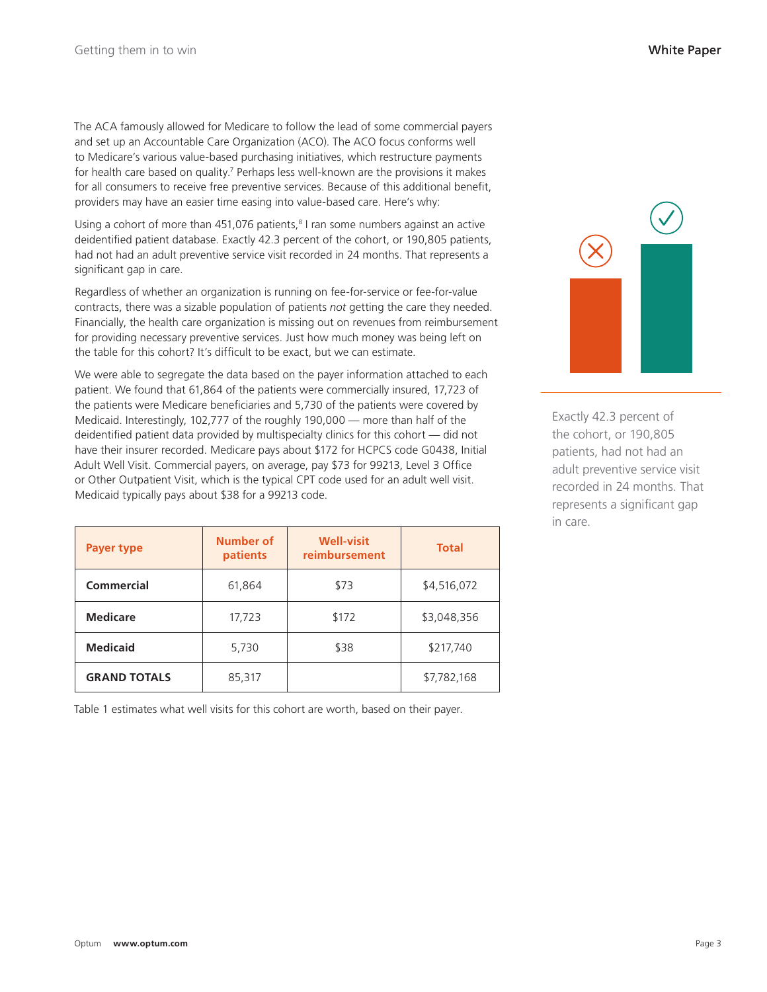The ACA famously allowed for Medicare to follow the lead of some commercial payers and set up an Accountable Care Organization (ACO). The ACO focus conforms well to Medicare's various value-based purchasing initiatives, which restructure payments for health care based on quality.<sup>7</sup> Perhaps less well-known are the provisions it makes for all consumers to receive free preventive services. Because of this additional benefit, providers may have an easier time easing into value-based care. Here's why:

Using a cohort of more than  $451,076$  patients, $81$  ran some numbers against an active deidentified patient database. Exactly 42.3 percent of the cohort, or 190,805 patients, had not had an adult preventive service visit recorded in 24 months. That represents a significant gap in care.

Regardless of whether an organization is running on fee-for-service or fee-for-value contracts, there was a sizable population of patients *not* getting the care they needed. Financially, the health care organization is missing out on revenues from reimbursement for providing necessary preventive services. Just how much money was being left on the table for this cohort? It's difficult to be exact, but we can estimate.

We were able to segregate the data based on the payer information attached to each patient. We found that 61,864 of the patients were commercially insured, 17,723 of the patients were Medicare beneficiaries and 5,730 of the patients were covered by Medicaid. Interestingly, 102,777 of the roughly 190,000 — more than half of the deidentified patient data provided by multispecialty clinics for this cohort — did not have their insurer recorded. Medicare pays about \$172 for HCPCS code G0438, Initial Adult Well Visit. Commercial payers, on average, pay \$73 for 99213, Level 3 Office or Other Outpatient Visit, which is the typical CPT code used for an adult well visit. Medicaid typically pays about \$38 for a 99213 code.

| Payer type          | <b>Number of</b><br>patients | <b>Well-visit</b><br>reimbursement | <b>Total</b> |
|---------------------|------------------------------|------------------------------------|--------------|
| Commercial          | 61,864                       | \$73                               | \$4,516,072  |
| <b>Medicare</b>     | 17,723                       | \$172                              | \$3,048,356  |
| <b>Medicaid</b>     | 5,730                        | \$38                               | \$217,740    |
| <b>GRAND TOTALS</b> | 85,317                       |                                    | \$7,782,168  |

Table 1 estimates what well visits for this cohort are worth, based on their payer.



Exactly 42.3 percent of the cohort, or 190,805 patients, had not had an adult preventive service visit recorded in 24 months. That represents a significant gap in care.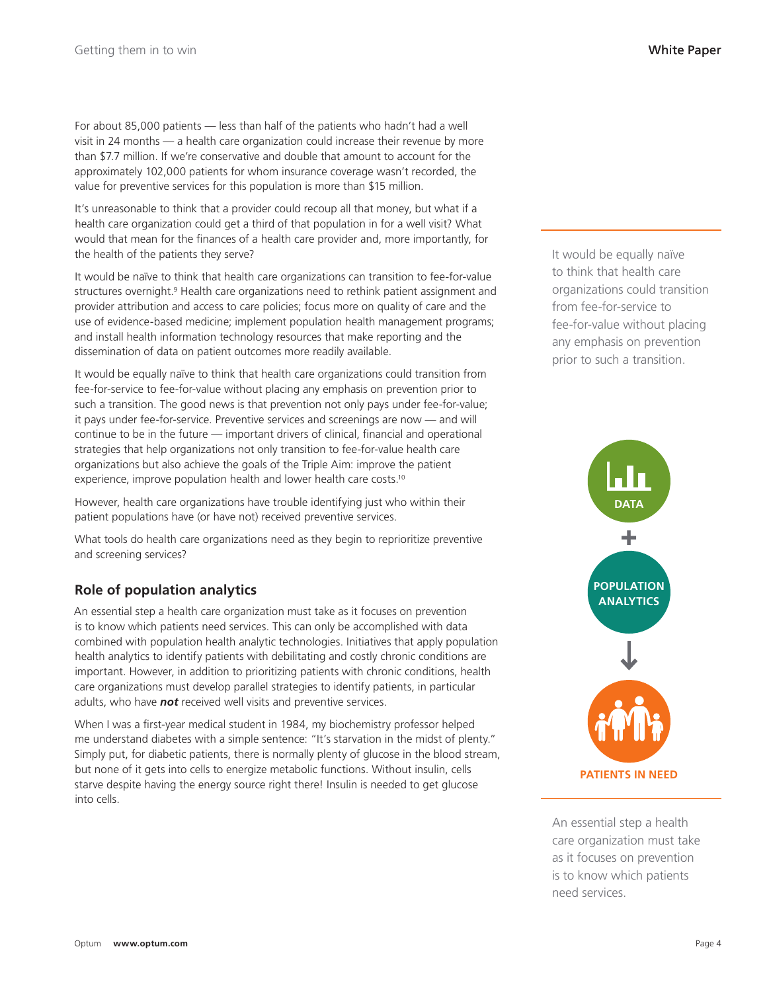For about 85,000 patients — less than half of the patients who hadn't had a well visit in 24 months — a health care organization could increase their revenue by more than \$7.7 million. If we're conservative and double that amount to account for the approximately 102,000 patients for whom insurance coverage wasn't recorded, the value for preventive services for this population is more than \$15 million.

It's unreasonable to think that a provider could recoup all that money, but what if a health care organization could get a third of that population in for a well visit? What would that mean for the finances of a health care provider and, more importantly, for the health of the patients they serve?

It would be naïve to think that health care organizations can transition to fee-for-value structures overnight.<sup>9</sup> Health care organizations need to rethink patient assignment and provider attribution and access to care policies; focus more on quality of care and the use of evidence-based medicine; implement population health management programs; and install health information technology resources that make reporting and the dissemination of data on patient outcomes more readily available.

It would be equally naïve to think that health care organizations could transition from fee-for-service to fee-for-value without placing any emphasis on prevention prior to such a transition. The good news is that prevention not only pays under fee-for-value; it pays under fee-for-service. Preventive services and screenings are now — and will continue to be in the future — important drivers of clinical, financial and operational strategies that help organizations not only transition to fee-for-value health care organizations but also achieve the goals of the Triple Aim: improve the patient experience, improve population health and lower health care costs.<sup>10</sup>

However, health care organizations have trouble identifying just who within their patient populations have (or have not) received preventive services.

What tools do health care organizations need as they begin to reprioritize preventive and screening services?

# **Role of population analytics**

An essential step a health care organization must take as it focuses on prevention is to know which patients need services. This can only be accomplished with data combined with population health analytic technologies. Initiatives that apply population health analytics to identify patients with debilitating and costly chronic conditions are important. However, in addition to prioritizing patients with chronic conditions, health care organizations must develop parallel strategies to identify patients, in particular adults, who have *not* received well visits and preventive services.

When I was a first-year medical student in 1984, my biochemistry professor helped me understand diabetes with a simple sentence: "It's starvation in the midst of plenty." Simply put, for diabetic patients, there is normally plenty of glucose in the blood stream, but none of it gets into cells to energize metabolic functions. Without insulin, cells starve despite having the energy source right there! Insulin is needed to get glucose into cells.

It would be equally naïve to think that health care organizations could transition from fee-for-service to fee-for-value without placing any emphasis on prevention prior to such a transition.



An essential step a health care organization must take as it focuses on prevention is to know which patients need services.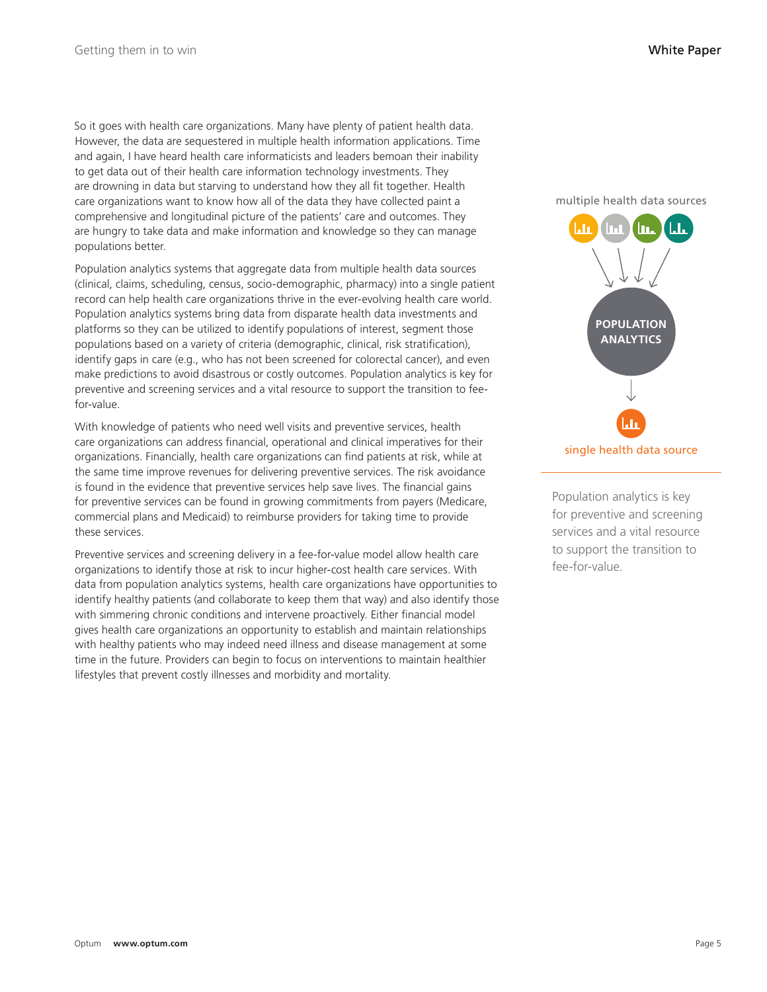So it goes with health care organizations. Many have plenty of patient health data. However, the data are sequestered in multiple health information applications. Time and again, I have heard health care informaticists and leaders bemoan their inability to get data out of their health care information technology investments. They are drowning in data but starving to understand how they all fit together. Health care organizations want to know how all of the data they have collected paint a comprehensive and longitudinal picture of the patients' care and outcomes. They are hungry to take data and make information and knowledge so they can manage populations better.

Population analytics systems that aggregate data from multiple health data sources (clinical, claims, scheduling, census, socio-demographic, pharmacy) into a single patient record can help health care organizations thrive in the ever-evolving health care world. Population analytics systems bring data from disparate health data investments and platforms so they can be utilized to identify populations of interest, segment those populations based on a variety of criteria (demographic, clinical, risk stratification), identify gaps in care (e.g., who has not been screened for colorectal cancer), and even make predictions to avoid disastrous or costly outcomes. Population analytics is key for preventive and screening services and a vital resource to support the transition to feefor-value.

With knowledge of patients who need well visits and preventive services, health care organizations can address financial, operational and clinical imperatives for their organizations. Financially, health care organizations can find patients at risk, while at the same time improve revenues for delivering preventive services. The risk avoidance is found in the evidence that preventive services help save lives. The financial gains for preventive services can be found in growing commitments from payers (Medicare, commercial plans and Medicaid) to reimburse providers for taking time to provide these services.

Preventive services and screening delivery in a fee-for-value model allow health care organizations to identify those at risk to incur higher-cost health care services. With data from population analytics systems, health care organizations have opportunities to identify healthy patients (and collaborate to keep them that way) and also identify those with simmering chronic conditions and intervene proactively. Either financial model gives health care organizations an opportunity to establish and maintain relationships with healthy patients who may indeed need illness and disease management at some time in the future. Providers can begin to focus on interventions to maintain healthier lifestyles that prevent costly illnesses and morbidity and mortality.



Population analytics is key for preventive and screening services and a vital resource to support the transition to fee-for-value.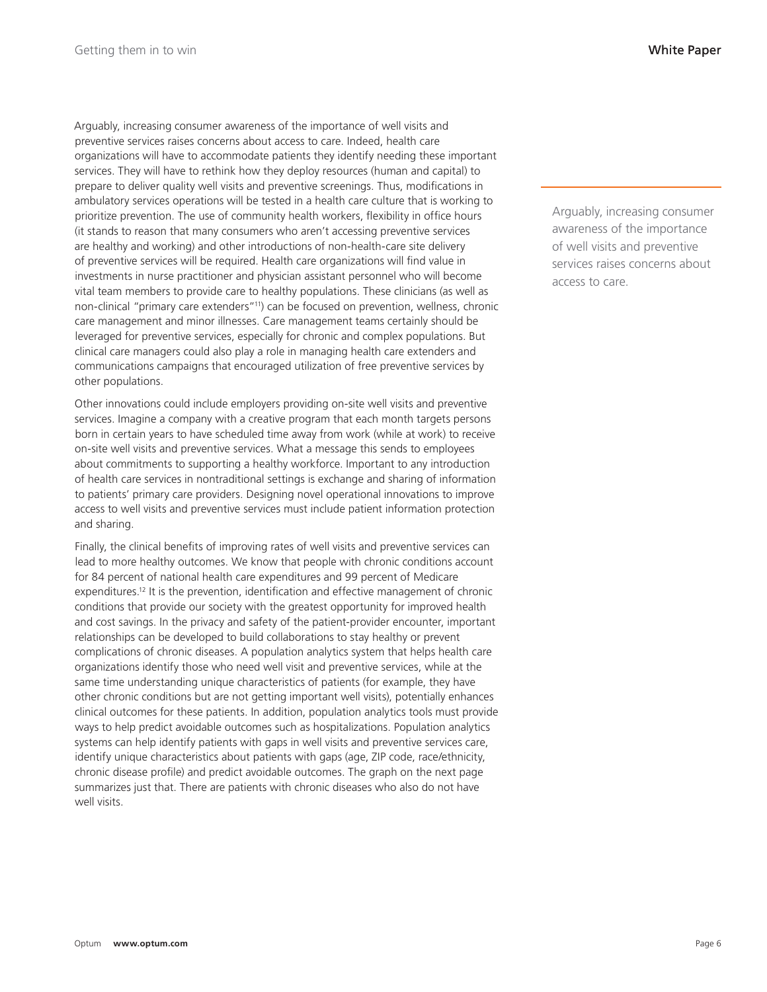Arguably, increasing consumer awareness of the importance of well visits and preventive services raises concerns about access to care. Indeed, health care organizations will have to accommodate patients they identify needing these important services. They will have to rethink how they deploy resources (human and capital) to prepare to deliver quality well visits and preventive screenings. Thus, modifications in ambulatory services operations will be tested in a health care culture that is working to prioritize prevention. The use of community health workers, flexibility in office hours (it stands to reason that many consumers who aren't accessing preventive services are healthy and working) and other introductions of non-health-care site delivery of preventive services will be required. Health care organizations will find value in investments in nurse practitioner and physician assistant personnel who will become vital team members to provide care to healthy populations. These clinicians (as well as non-clinical "primary care extenders"11) can be focused on prevention, wellness, chronic care management and minor illnesses. Care management teams certainly should be leveraged for preventive services, especially for chronic and complex populations. But clinical care managers could also play a role in managing health care extenders and communications campaigns that encouraged utilization of free preventive services by other populations.

Other innovations could include employers providing on-site well visits and preventive services. Imagine a company with a creative program that each month targets persons born in certain years to have scheduled time away from work (while at work) to receive on-site well visits and preventive services. What a message this sends to employees about commitments to supporting a healthy workforce. Important to any introduction of health care services in nontraditional settings is exchange and sharing of information to patients' primary care providers. Designing novel operational innovations to improve access to well visits and preventive services must include patient information protection and sharing.

Finally, the clinical benefits of improving rates of well visits and preventive services can lead to more healthy outcomes. We know that people with chronic conditions account for 84 percent of national health care expenditures and 99 percent of Medicare expenditures.12 It is the prevention, identification and effective management of chronic conditions that provide our society with the greatest opportunity for improved health and cost savings. In the privacy and safety of the patient-provider encounter, important relationships can be developed to build collaborations to stay healthy or prevent complications of chronic diseases. A population analytics system that helps health care organizations identify those who need well visit and preventive services, while at the same time understanding unique characteristics of patients (for example, they have other chronic conditions but are not getting important well visits), potentially enhances clinical outcomes for these patients. In addition, population analytics tools must provide ways to help predict avoidable outcomes such as hospitalizations. Population analytics systems can help identify patients with gaps in well visits and preventive services care, identify unique characteristics about patients with gaps (age, ZIP code, race/ethnicity, chronic disease profile) and predict avoidable outcomes. The graph on the next page summarizes just that. There are patients with chronic diseases who also do not have well visits.

Arguably, increasing consumer awareness of the importance of well visits and preventive services raises concerns about access to care.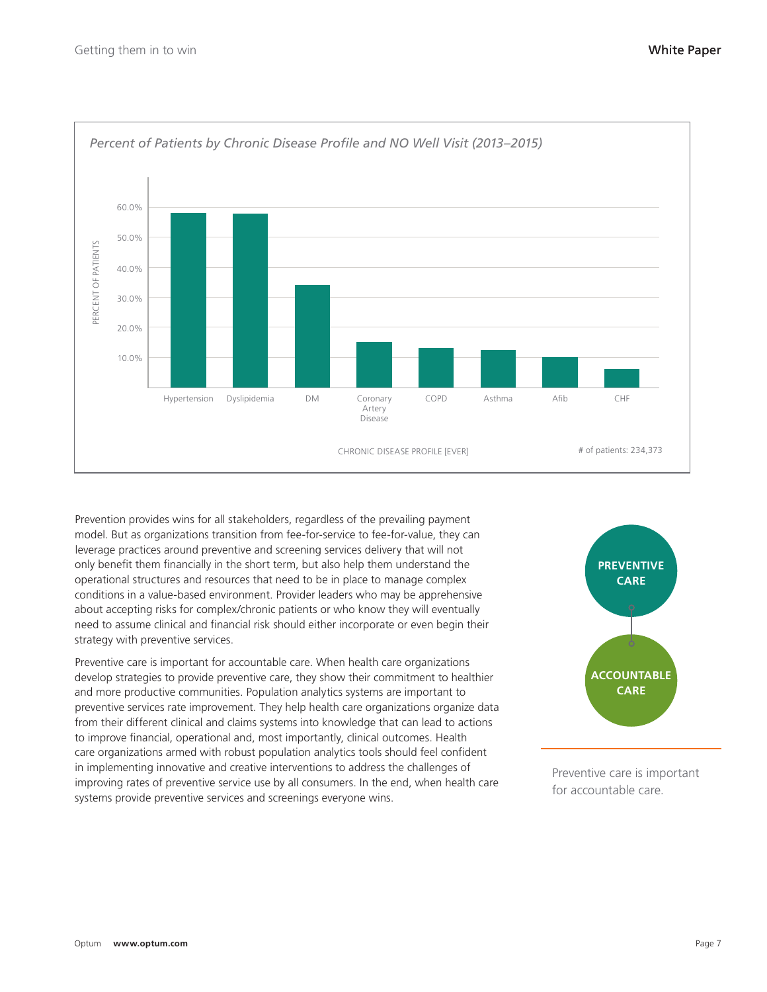

Prevention provides wins for all stakeholders, regardless of the prevailing payment model. But as organizations transition from fee-for-service to fee-for-value, they can leverage practices around preventive and screening services delivery that will not only benefit them financially in the short term, but also help them understand the operational structures and resources that need to be in place to manage complex conditions in a value-based environment. Provider leaders who may be apprehensive about accepting risks for complex/chronic patients or who know they will eventually need to assume clinical and financial risk should either incorporate or even begin their strategy with preventive services.

Preventive care is important for accountable care. When health care organizations develop strategies to provide preventive care, they show their commitment to healthier and more productive communities. Population analytics systems are important to preventive services rate improvement. They help health care organizations organize data from their different clinical and claims systems into knowledge that can lead to actions to improve financial, operational and, most importantly, clinical outcomes. Health care organizations armed with robust population analytics tools should feel confident in implementing innovative and creative interventions to address the challenges of improving rates of preventive service use by all consumers. In the end, when health care systems provide preventive services and screenings everyone wins.



Preventive care is important for accountable care.